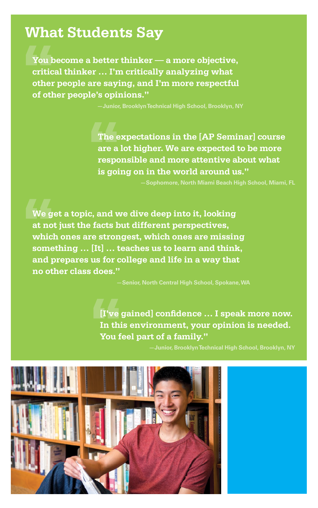## **What Students Say**

**You become a better thinker — a more objective, critical thinker … I'm critically analyzing what other people are saying, and I'm more respectful of other people's opinions."** 

**—Junior, Brooklyn Technical High School, Brooklyn, NY**

**The expectations in the [AP Seminar] course are a lot higher. We are expected to be more responsible and more attentive about what is going on in the world around us."** 

**—Sophomore, North Miami Beach High School, Miami, FL**

**We get a topic, and we dive deep into it, looking at not just the facts but different perspectives, which ones are strongest, which ones are missing something … [It] … teaches us to learn and think, and prepares us for college and life in a way that no other class does."** 

**—Senior, North Central High School, Spokane, WA**

**[I've gained] confidence … I speak more now. In this environment, your opinion is needed. You feel part of a family."**

**—Junior, Brooklyn Technical High School, Brooklyn, NY**

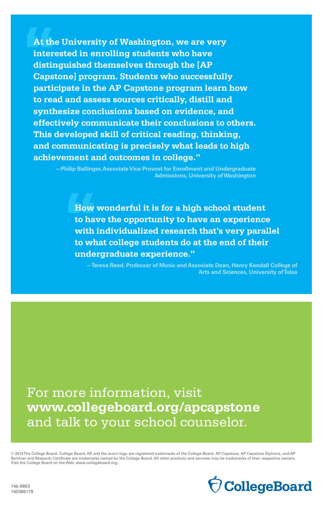**At the University of Washington, we are very interested in enrolling students who have distinguished themselves through the [AP Capstone] program. Students who successfully participate in the AP Capstone program learn how to read and assess sources critically, distill and synthesize conclusions based on evidence, and effectively communicate their conclusions to others. This developed skill of critical reading, thinking, and communicating is precisely what leads to high achievement and outcomes in college."** 

**—Philip Ballinger, Associate Vice Provost for Enrollment and Undergraduate Admissions, University of Washington**

**How wonderful it is for a high school student to have the opportunity to have an experience with individualized research that's very parallel to what college students do at the end of their undergraduate experience."** 

**—Teresa Reed, Professor of Music and Associate Dean, Henry Kendall College of Arts and Sciences, University of Tulsa**

For more information, visit **[www.collegeboard.org/apcapstone](http://www.collegeboard.org/apcapstone)** and talk to your school counselor.

© 2014 The College Board. College Board, AP, and the acorn logo are registered trademarks of the College Board. AP Capstone, AP Capstone Diploma, and AP Seminar and Research Certificate are trademarks owned by the College Board. All other products and services may be trademarks of their respective owners. Visit the College Board on the Web: [www.collegeboard.org](http://www.collegeboard.org).

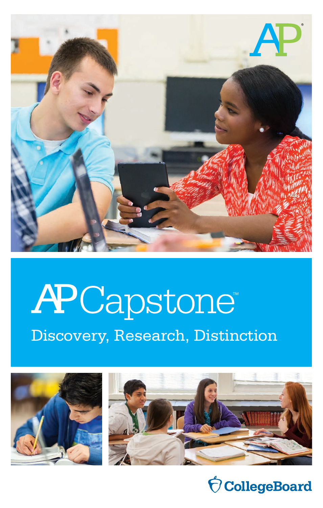

# APCapstone Discovery, Research, Distinction





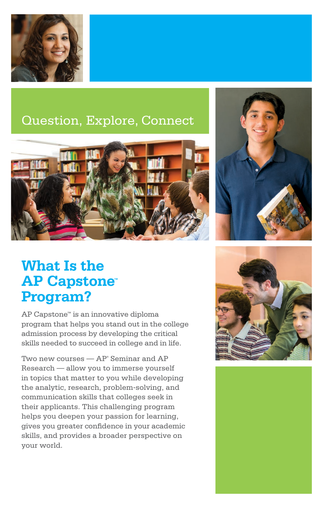

## Question, Explore, Connect



## **What Is the AP Capstone™ Program?**

AP Capstone™ is an innovative diploma program that helps you stand out in the college admission process by developing the critical skills needed to succeed in college and in life.

Two new courses — AP® Seminar and AP Research — allow you to immerse yourself in topics that matter to you while developing the analytic, research, problem-solving, and communication skills that colleges seek in their applicants. This challenging program helps you deepen your passion for learning, gives you greater confidence in your academic skills, and provides a broader perspective on your world.



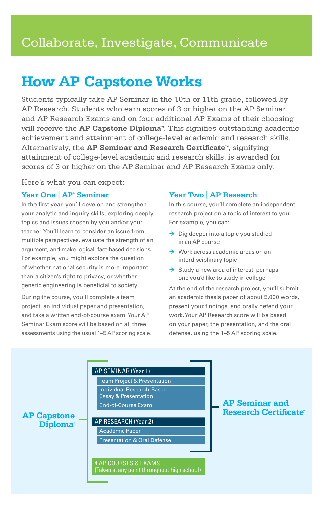## **How AP Capstone Works**

Students typically take AP Seminar in the 10th or 11th grade, followed by AP Research. Students who earn scores of 3 or higher on the AP Seminar and AP Research Exams and on four additional AP Exams of their choosing will receive the **AP Capstone Diploma™**. This signifies outstanding academic achievement and attainment of college-level academic and research skills. Alternatively, the **AP Seminar and Research Certificate™**, signifying attainment of college-level academic and research skills, is awarded for scores of 3 or higher on the AP Seminar and AP Research Exams only.

Here's what you can expect:

#### **Year One | AP® Seminar**

In the first year, you'll develop and strengthen your analytic and inquiry skills, exploring deeply topics and issues chosen by you and/or your teacher. You'll learn to consider an issue from multiple perspectives, evaluate the strength of an argument, and make logical, fact-based decisions. For example, you might explore the question of whether national security is more important than a citizen's right to privacy, or whether genetic engineering is beneficial to society.

During the course, you'll complete a team project, an individual paper and presentation, and take a written end-of-course exam. Your AP Seminar Exam score will be based on all three assessments using the usual 1–5 AP scoring scale.

#### **Year Two | AP Research**

In this course, you'll complete an independent research project on a topic of interest to you. For example, you can:

- $\rightarrow$  Dig deeper into a topic you studied in an AP course
- $\rightarrow$  Work across academic areas on an interdisciplinary topic
- $\rightarrow$  Study a new area of interest, perhaps one you'd like to study in college

At the end of the research project, you'll submit an academic thesis paper of about 5,000 words, present your findings, and orally defend your work. Your AP Research score will be based on your paper, the presentation, and the oral defense, using the 1–5 AP scoring scale.